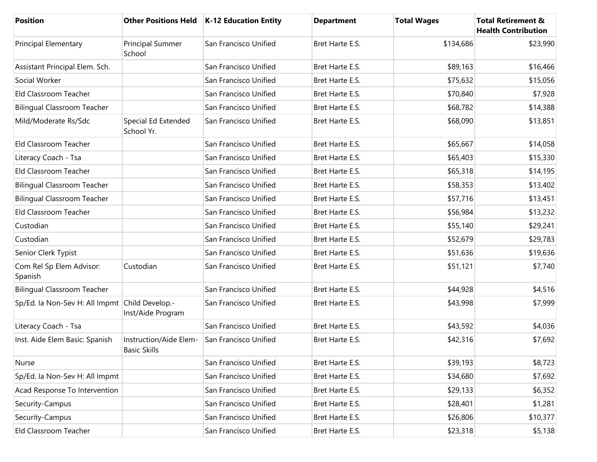| Position                                       |                                               | Other Positions Held   K-12 Education Entity | <b>Department</b> | <b>Total Wages</b> | <b>Total Retirement &amp;</b><br><b>Health Contribution</b> |
|------------------------------------------------|-----------------------------------------------|----------------------------------------------|-------------------|--------------------|-------------------------------------------------------------|
| Principal Elementary                           | <b>Principal Summer</b><br>School             | San Francisco Unified                        | Bret Harte E.S.   | \$134,686          | \$23,990                                                    |
| Assistant Principal Elem. Sch.                 |                                               | San Francisco Unified                        | Bret Harte E.S.   | \$89,163           | \$16,466                                                    |
| Social Worker                                  |                                               | San Francisco Unified                        | Bret Harte E.S.   | \$75,632           | \$15,056                                                    |
| <b>Eld Classroom Teacher</b>                   |                                               | San Francisco Unified                        | Bret Harte E.S.   | \$70,840           | \$7,928                                                     |
| <b>Bilingual Classroom Teacher</b>             |                                               | San Francisco Unified                        | Bret Harte E.S.   | \$68,782           | \$14,388                                                    |
| Mild/Moderate Rs/Sdc                           | Special Ed Extended<br>School Yr.             | San Francisco Unified                        | Bret Harte E.S.   | \$68,090           | \$13,851                                                    |
| Eld Classroom Teacher                          |                                               | San Francisco Unified                        | Bret Harte E.S.   | \$65,667           | \$14,058                                                    |
| Literacy Coach - Tsa                           |                                               | San Francisco Unified                        | Bret Harte E.S.   | \$65,403           | \$15,330                                                    |
| Eld Classroom Teacher                          |                                               | San Francisco Unified                        | Bret Harte E.S.   | \$65,318           | \$14,195                                                    |
| <b>Bilingual Classroom Teacher</b>             |                                               | San Francisco Unified                        | Bret Harte E.S.   | \$58,353           | \$13,402                                                    |
| <b>Bilingual Classroom Teacher</b>             |                                               | San Francisco Unified                        | Bret Harte E.S.   | \$57,716           | \$13,451                                                    |
| Eld Classroom Teacher                          |                                               | San Francisco Unified                        | Bret Harte E.S.   | \$56,984           | \$13,232                                                    |
| Custodian                                      |                                               | San Francisco Unified                        | Bret Harte E.S.   | \$55,140           | \$29,241                                                    |
| Custodian                                      |                                               | San Francisco Unified                        | Bret Harte E.S.   | \$52,679           | \$29,783                                                    |
| Senior Clerk Typist                            |                                               | San Francisco Unified                        | Bret Harte E.S.   | \$51,636           | \$19,636                                                    |
| Com Rel Sp Elem Advisor:<br>Spanish            | Custodian                                     | San Francisco Unified                        | Bret Harte E.S.   | \$51,121           | \$7,740                                                     |
| <b>Bilingual Classroom Teacher</b>             |                                               | San Francisco Unified                        | Bret Harte E.S.   | \$44,928           | \$4,516                                                     |
| Sp/Ed. la Non-Sev H: All Impmt Child Develop.- | Inst/Aide Program                             | San Francisco Unified                        | Bret Harte E.S.   | \$43,998           | \$7,999                                                     |
| Literacy Coach - Tsa                           |                                               | San Francisco Unified                        | Bret Harte E.S.   | \$43,592           | \$4,036                                                     |
| Inst. Aide Elem Basic: Spanish                 | Instruction/Aide Elem-<br><b>Basic Skills</b> | San Francisco Unified                        | Bret Harte E.S.   | \$42,316           | \$7,692                                                     |
| Nurse                                          |                                               | San Francisco Unified                        | Bret Harte E.S.   | \$39,193           | \$8,723                                                     |
| Sp/Ed. la Non-Sev H: All Impmt                 |                                               | San Francisco Unified                        | Bret Harte E.S.   | \$34,680           | \$7,692                                                     |
| Acad Response To Intervention                  |                                               | San Francisco Unified                        | Bret Harte E.S.   | \$29,133           | \$6,352                                                     |
| Security-Campus                                |                                               | San Francisco Unified                        | Bret Harte E.S.   | \$28,401           | \$1,281                                                     |
| Security-Campus                                |                                               | San Francisco Unified                        | Bret Harte E.S.   | \$26,806           | \$10,377                                                    |
| Eld Classroom Teacher                          |                                               | San Francisco Unified                        | Bret Harte E.S.   | \$23,318           | \$5,138                                                     |